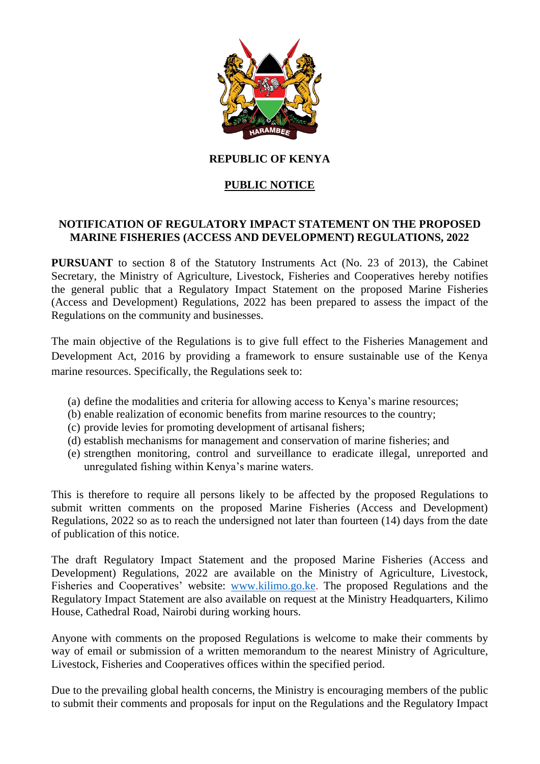

# **REPUBLIC OF KENYA**

# **PUBLIC NOTICE**

### **NOTIFICATION OF REGULATORY IMPACT STATEMENT ON THE PROPOSED MARINE FISHERIES (ACCESS AND DEVELOPMENT) REGULATIONS, 2022**

**PURSUANT** to section 8 of the Statutory Instruments Act (No. 23 of 2013), the Cabinet Secretary, the Ministry of Agriculture, Livestock, Fisheries and Cooperatives hereby notifies the general public that a Regulatory Impact Statement on the proposed Marine Fisheries (Access and Development) Regulations, 2022 has been prepared to assess the impact of the Regulations on the community and businesses.

The main objective of the Regulations is to give full effect to the Fisheries Management and Development Act, 2016 by providing a framework to ensure sustainable use of the Kenya marine resources. Specifically, the Regulations seek to:

- (a) define the modalities and criteria for allowing access to Kenya's marine resources;
- (b) enable realization of economic benefits from marine resources to the country;
- (c) provide levies for promoting development of artisanal fishers;
- (d) establish mechanisms for management and conservation of marine fisheries; and
- (e) strengthen monitoring, control and surveillance to eradicate illegal, unreported and unregulated fishing within Kenya's marine waters.

This is therefore to require all persons likely to be affected by the proposed Regulations to submit written comments on the proposed Marine Fisheries (Access and Development) Regulations, 2022 so as to reach the undersigned not later than fourteen (14) days from the date of publication of this notice.

The draft Regulatory Impact Statement and the proposed Marine Fisheries (Access and Development) Regulations, 2022 are available on the Ministry of Agriculture, Livestock, Fisheries and Cooperatives' website: [www.kilimo.go.ke.](http://www.kilimo.go.ke/) The proposed Regulations and the Regulatory Impact Statement are also available on request at the Ministry Headquarters, Kilimo House, Cathedral Road, Nairobi during working hours.

Anyone with comments on the proposed Regulations is welcome to make their comments by way of email or submission of a written memorandum to the nearest Ministry of Agriculture, Livestock, Fisheries and Cooperatives offices within the specified period.

Due to the prevailing global health concerns, the Ministry is encouraging members of the public to submit their comments and proposals for input on the Regulations and the Regulatory Impact